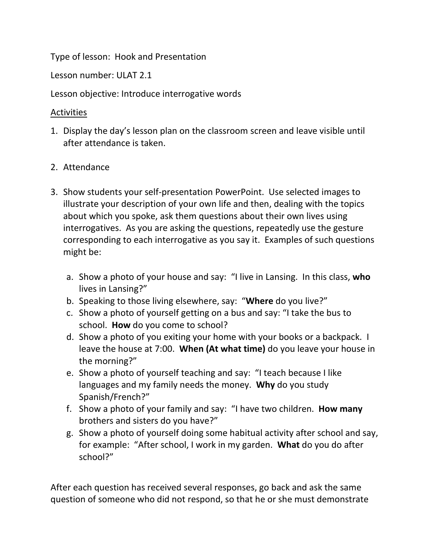Type of lesson: Hook and Presentation

Lesson number: ULAT 2.1

Lesson objective: Introduce interrogative words

## Activities

- 1. Display the day's lesson plan on the classroom screen and leave visible until after attendance is taken.
- 2. Attendance
- 3. Show students your self-presentation PowerPoint. Use selected images to illustrate your description of your own life and then, dealing with the topics about which you spoke, ask them questions about their own lives using interrogatives. As you are asking the questions, repeatedly use the gesture corresponding to each interrogative as you say it. Examples of such questions might be:
	- a. Show a photo of your house and say: "I live in Lansing. In this class, **who** lives in Lansing?"
	- b. Speaking to those living elsewhere, say: "**Where** do you live?"
	- c. Show a photo of yourself getting on a bus and say: "I take the bus to school. **How** do you come to school?
	- d. Show a photo of you exiting your home with your books or a backpack. I leave the house at 7:00. **When (At what time)** do you leave your house in the morning?"
	- e. Show a photo of yourself teaching and say: "I teach because I like languages and my family needs the money. **Why** do you study Spanish/French?"
	- f. Show a photo of your family and say: "I have two children. **How many** brothers and sisters do you have?"
	- g. Show a photo of yourself doing some habitual activity after school and say, for example: "After school, I work in my garden. **What** do you do after school?"

After each question has received several responses, go back and ask the same question of someone who did not respond, so that he or she must demonstrate